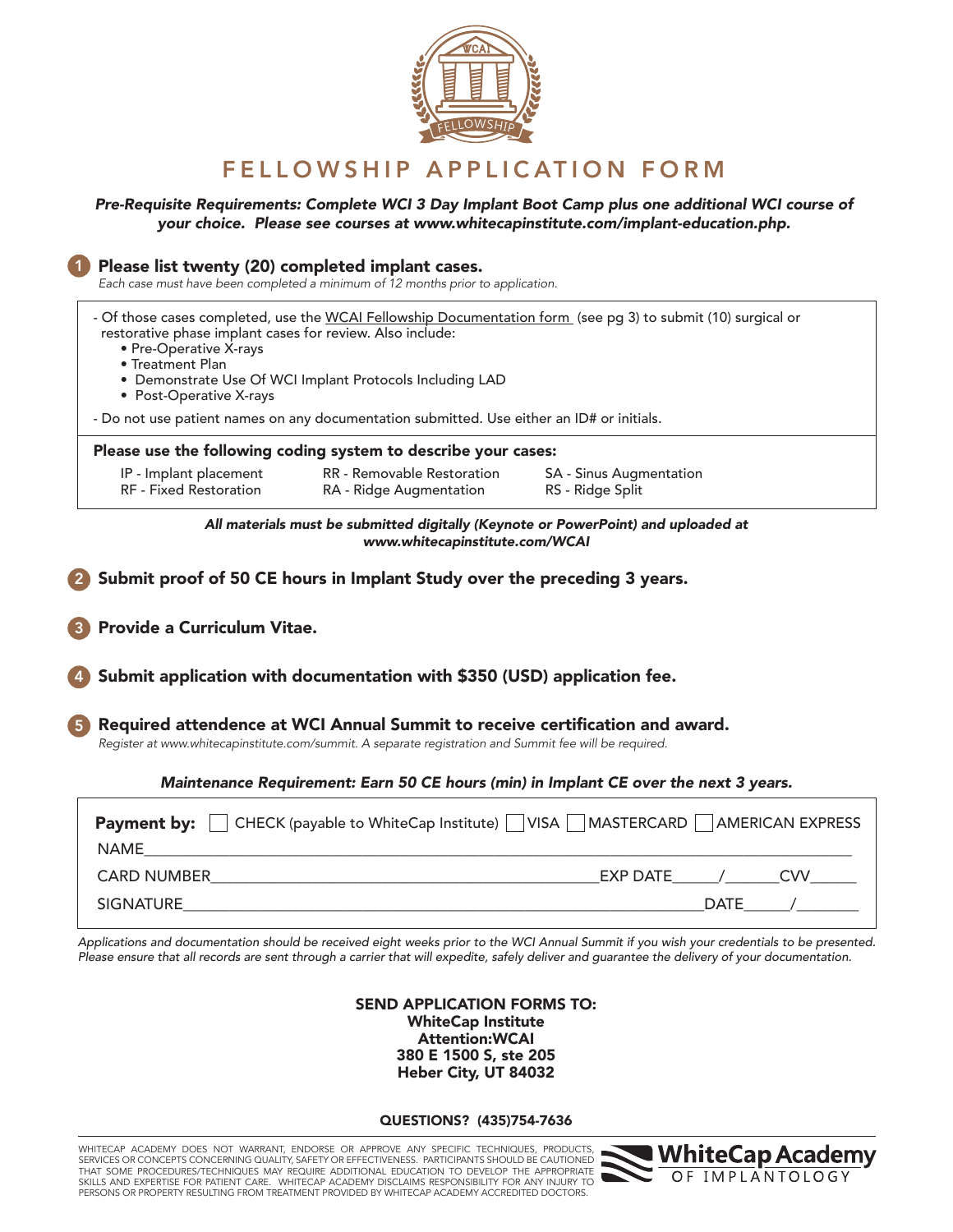

## FELLOWSHIP APPLICATION FORM

## *Pre-Requisite Requirements: Complete WCI 3 Day Implant Boot Camp plus one additional WCI course of your choice. Please see courses at www.whitecapinstitute.com/implant-education.php.*

| Please list twenty (20) completed implant cases.<br>Each case must have been completed a minimum of 12 months prior to application.                                                                                                                                                                            |                                                                                                                        |                                                                                                                       |  |  |  |  |  |
|----------------------------------------------------------------------------------------------------------------------------------------------------------------------------------------------------------------------------------------------------------------------------------------------------------------|------------------------------------------------------------------------------------------------------------------------|-----------------------------------------------------------------------------------------------------------------------|--|--|--|--|--|
| - Of those cases completed, use the WCAI Fellowship Documentation form (see pg 3) to submit (10) surgical or<br>restorative phase implant cases for review. Also include:<br>• Pre-Operative X-rays<br>• Treatment Plan<br>• Demonstrate Use Of WCI Implant Protocols Including LAD<br>• Post-Operative X-rays |                                                                                                                        |                                                                                                                       |  |  |  |  |  |
| - Do not use patient names on any documentation submitted. Use either an ID# or initials.                                                                                                                                                                                                                      |                                                                                                                        |                                                                                                                       |  |  |  |  |  |
|                                                                                                                                                                                                                                                                                                                | Please use the following coding system to describe your cases:                                                         |                                                                                                                       |  |  |  |  |  |
| IP - Implant placement<br>RF - Fixed Restoration                                                                                                                                                                                                                                                               | RR - Removable Restoration<br>RA - Ridge Augmentation                                                                  | SA - Sinus Augmentation<br>RS - Ridge Split                                                                           |  |  |  |  |  |
| All materials must be submitted digitally (Keynote or PowerPoint) and uploaded at<br>www.whitecapinstitute.com/WCAI                                                                                                                                                                                            |                                                                                                                        |                                                                                                                       |  |  |  |  |  |
|                                                                                                                                                                                                                                                                                                                | Submit proof of 50 CE hours in Implant Study over the preceding 3 years.                                               |                                                                                                                       |  |  |  |  |  |
| Provide a Curriculum Vitae.                                                                                                                                                                                                                                                                                    |                                                                                                                        |                                                                                                                       |  |  |  |  |  |
| Submit application with documentation with \$350 (USD) application fee.                                                                                                                                                                                                                                        |                                                                                                                        |                                                                                                                       |  |  |  |  |  |
| Required attendence at WCI Annual Summit to receive certification and award.<br>Register at www.whitecapinstitute.com/summit. A separate registration and Summit fee will be required.                                                                                                                         |                                                                                                                        |                                                                                                                       |  |  |  |  |  |
| Maintenance Requirement: Earn 50 CE hours (min) in Implant CE over the next 3 years.                                                                                                                                                                                                                           |                                                                                                                        |                                                                                                                       |  |  |  |  |  |
| <b>NAME</b>                                                                                                                                                                                                                                                                                                    | <u> 1980 - Johann Barn, mars ann an t-Amhain ann an t-Amhain an t-Amhain an t-Amhain an t-Amhain an t-Amhain an t-</u> | <b>Payment by:</b> $\Box$ CHECK (payable to WhiteCap Institute) $\Box$ VISA $\Box$ MASTERCARD $\Box$ AMERICAN EXPRESS |  |  |  |  |  |
|                                                                                                                                                                                                                                                                                                                | CARD NUMBER <b>EXAMPLE 2008</b>                                                                                        | EXP DATE__________________CVV________                                                                                 |  |  |  |  |  |
| <b>SIGNATURE</b>                                                                                                                                                                                                                                                                                               |                                                                                                                        | DATE /                                                                                                                |  |  |  |  |  |
|                                                                                                                                                                                                                                                                                                                |                                                                                                                        |                                                                                                                       |  |  |  |  |  |

*Applications and documentation should be received eight weeks prior to the WCI Annual Summit if you wish your credentials to be presented. Please ensure that all records are sent through a carrier that will expedite, safely deliver and guarantee the delivery of your documentation.*

> SEND APPLICATION FORMS TO: WhiteCap Institute Attention:WCAI 380 E 1500 S, ste 205 Heber City, UT 84032

QUESTIONS? (435)754-7636

WHITECAP ACADEMY DOES NOT WARRANT, ENDORSE OR APPROVE ANY SPECIFIC TECHNIQUES, PRODUCTS, SERVICES OR CONCEPTS CONCERNING QUALITY, SAFETY OR EFFECTIVENESS. PARTICIPANTS SHOULD BE CAUTIONED<br>THAT SOME PROCEDURES/TECHNIQUES MAY REQUIRE ADDITIONAL EDUCATION TO DEVELOP THE APPROPRIATE SKILLS AND EXPERTISE FOR PATIENT CARE. WHITECAP ACADEMY DISCLAIMS RESPONSIBILITY FOR ANY INJURY TO PERSONS OR PROPERTY RESULTING FROM TREATMENT PROVIDED BY WHITECAP ACADEMY ACCREDITED DOCTORS.

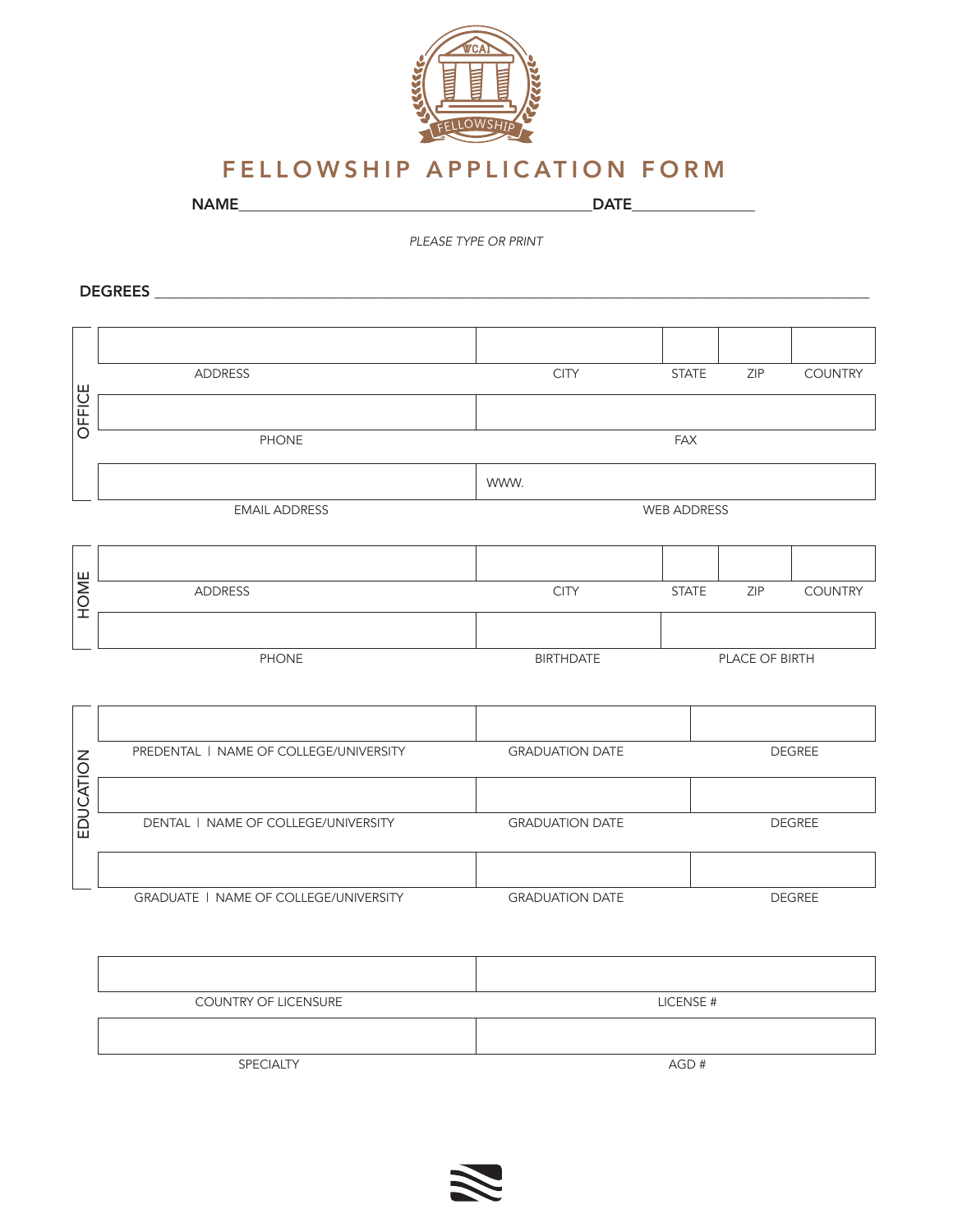

## FELLOWSHIP APPLICATION FORM

NAME\_\_\_\_\_\_\_\_\_\_\_\_\_\_\_\_\_\_\_\_\_\_\_\_\_\_\_\_\_\_\_\_\_\_\_\_\_\_\_\_\_\_\_\_\_\_DATE\_\_\_\_\_\_\_\_\_\_\_\_\_\_\_\_

*PLEASE TYPE OR PRINT*

DEGREES \_\_\_\_\_\_\_\_\_\_\_\_\_\_\_\_\_\_\_\_\_\_\_\_\_\_\_\_\_\_\_\_\_\_\_\_\_\_\_\_\_\_\_\_\_\_\_\_\_\_\_\_\_\_\_\_\_\_\_\_\_\_\_\_\_\_\_\_\_\_\_\_\_\_\_\_\_\_\_\_\_\_\_\_\_\_\_\_\_\_\_\_\_

|           | <b>ADDRESS</b>                         | <b>CITY</b>            | <b>STATE</b>  | ZIP            | <b>COUNTRY</b> |  |  |
|-----------|----------------------------------------|------------------------|---------------|----------------|----------------|--|--|
| OFFICE    |                                        |                        |               |                |                |  |  |
|           | <b>PHONE</b>                           | <b>FAX</b>             |               |                |                |  |  |
|           |                                        | WWW.                   |               |                |                |  |  |
|           | <b>EMAIL ADDRESS</b>                   | <b>WEB ADDRESS</b>     |               |                |                |  |  |
|           |                                        |                        |               |                |                |  |  |
|           |                                        |                        |               |                |                |  |  |
| HOME      | <b>ADDRESS</b>                         | <b>CITY</b>            | <b>STATE</b>  | ZIP            | <b>COUNTRY</b> |  |  |
|           |                                        |                        |               |                |                |  |  |
|           | <b>PHONE</b>                           | <b>BIRTHDATE</b>       |               | PLACE OF BIRTH |                |  |  |
|           |                                        |                        |               |                |                |  |  |
|           |                                        |                        |               |                |                |  |  |
|           | PREDENTAL   NAME OF COLLEGE/UNIVERSITY | <b>GRADUATION DATE</b> | <b>DEGREE</b> |                |                |  |  |
| EDUCATION |                                        |                        |               |                |                |  |  |
|           | DENTAL   NAME OF COLLEGE/UNIVERSITY    | <b>GRADUATION DATE</b> | DEGREE        |                |                |  |  |
|           |                                        |                        |               |                |                |  |  |
|           | GRADUATE   NAME OF COLLEGE/UNIVERSITY  | <b>GRADUATION DATE</b> |               |                | <b>DEGREE</b>  |  |  |

| <b>COUNTRY OF LICENSURE</b> | LICENSE # |
|-----------------------------|-----------|
|                             |           |
| SPECIALTY                   | AGD#      |